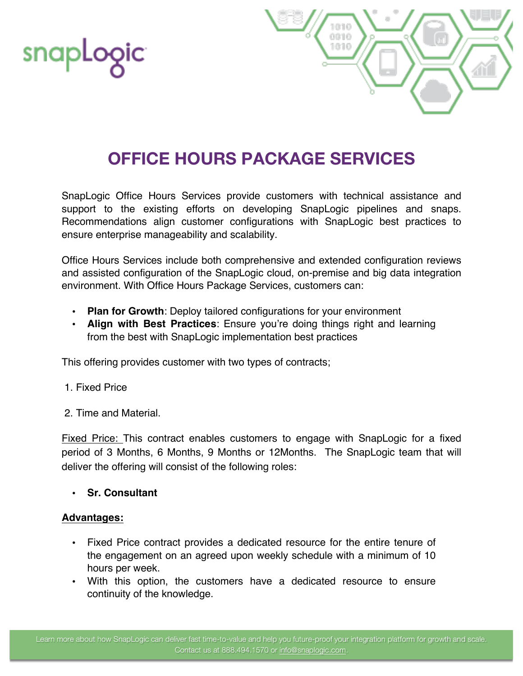



## **OFFICE HOURS PACKAGE SERVICES**

SnapLogic Office Hours Services provide customers with technical assistance and support to the existing efforts on developing SnapLogic pipelines and snaps. Recommendations align customer configurations with SnapLogic best practices to ensure enterprise manageability and scalability.

Office Hours Services include both comprehensive and extended configuration reviews and assisted configuration of the SnapLogic cloud, on-premise and big data integration environment. With Office Hours Package Services, customers can:

- **Plan for Growth**: Deploy tailored configurations for your environment
- **Align with Best Practices**: Ensure you're doing things right and learning from the best with SnapLogic implementation best practices

This offering provides customer with two types of contracts;

- 1. Fixed Price
- 2. Time and Material.

Fixed Price: This contract enables customers to engage with SnapLogic for a fixed period of 3 Months, 6 Months, 9 Months or 12Months. The SnapLogic team that will deliver the offering will consist of the following roles:

#### • **Sr. Consultant**

#### **Advantages:**

- Fixed Price contract provides a dedicated resource for the entire tenure of the engagement on an agreed upon weekly schedule with a minimum of 10 hours per week.
- With this option, the customers have a dedicated resource to ensure continuity of the knowledge.

Learn more about how SnapLogic can deliver fast time-to-value and help you future-proof your integration platform for growth and scale. Contact us at 888.494.1570 or info@snaplogic.com.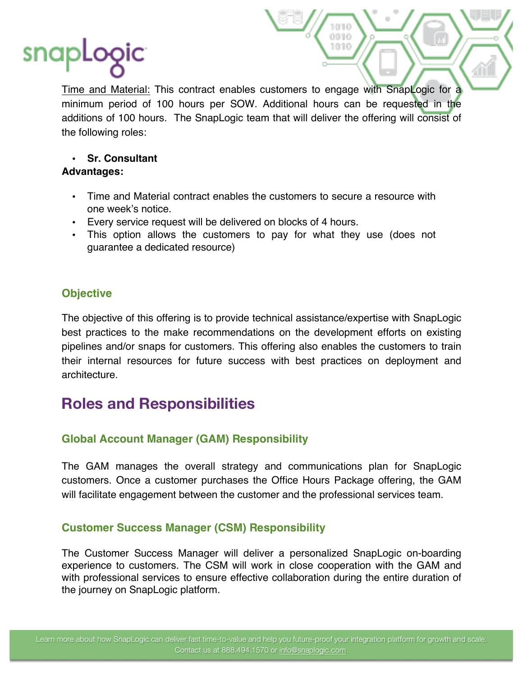# snap

Time and Material: This contract enables customers to engage with SnapLogic for a minimum period of 100 hours per SOW. Additional hours can be requested in the additions of 100 hours. The SnapLogic team that will deliver the offering will consist of the following roles:

0010 1010

## • **Sr. Consultant**

### **Advantages:**

- Time and Material contract enables the customers to secure a resource with one week's notice.
- Every service request will be delivered on blocks of 4 hours.
- This option allows the customers to pay for what they use (does not guarantee a dedicated resource)

## **Objective**

The objective of this offering is to provide technical assistance/expertise with SnapLogic best practices to the make recommendations on the development efforts on existing pipelines and/or snaps for customers. This offering also enables the customers to train their internal resources for future success with best practices on deployment and architecture.

## **Roles and Responsibilities**

## **Global Account Manager (GAM) Responsibility**

The GAM manages the overall strategy and communications plan for SnapLogic customers. Once a customer purchases the Office Hours Package offering, the GAM will facilitate engagement between the customer and the professional services team.

## **Customer Success Manager (CSM) Responsibility**

The Customer Success Manager will deliver a personalized SnapLogic on-boarding experience to customers. The CSM will work in close cooperation with the GAM and with professional services to ensure effective collaboration during the entire duration of the journey on SnapLogic platform.